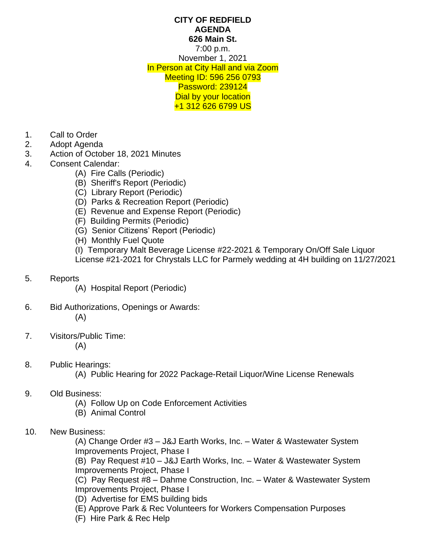## **CITY OF REDFIELD AGENDA 626 Main St.** 7:00 p.m. November 1, 2021 In Person at City Hall and via Zoom Meeting ID: 596 256 0793 Password: 239124 Dial by your location +1 312 626 6799 US

- 1. Call to Order
- 2. Adopt Agenda
- 3. Action of October 18, 2021 Minutes
- 4. Consent Calendar:
	- (A) Fire Calls (Periodic)
	- (B) Sheriff's Report (Periodic)
	- (C) Library Report (Periodic)
	- (D) Parks & Recreation Report (Periodic)
	- (E) Revenue and Expense Report (Periodic)
	- (F) Building Permits (Periodic)
	- (G) Senior Citizens' Report (Periodic)
	- (H) Monthly Fuel Quote

(I) Temporary Malt Beverage License #22-2021 & Temporary On/Off Sale Liquor License #21-2021 for Chrystals LLC for Parmely wedding at 4H building on 11/27/2021

- 5. Reports
	- (A) Hospital Report (Periodic)
- 6. Bid Authorizations, Openings or Awards: (A)
- 7. Visitors/Public Time: (A)
- 8. Public Hearings:
	- (A) Public Hearing for 2022 Package-Retail Liquor/Wine License Renewals
	- 9. Old Business:
		- (A) Follow Up on Code Enforcement Activities
		- (B) Animal Control
	- 10. New Business:

(A) Change Order #3 – J&J Earth Works, Inc. – Water & Wastewater System Improvements Project, Phase I

(B) Pay Request #10 – J&J Earth Works, Inc. – Water & Wastewater System Improvements Project, Phase I

(C) Pay Request #8 – Dahme Construction, Inc. – Water & Wastewater System Improvements Project, Phase I

- (D) Advertise for EMS building bids
- (E) Approve Park & Rec Volunteers for Workers Compensation Purposes
- (F) Hire Park & Rec Help